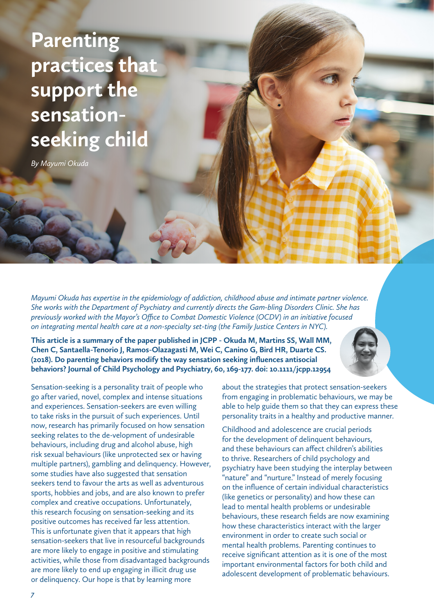## **Parenting practices that support the sensationseeking child**

*By Mayumi Okuda*

*Mayumi Okuda has expertise in the epidemiology of addiction, childhood abuse and intimate partner violence. She works with the Department of Psychiatry and currently directs the Gam-bling Disorders Clinic. She has previously worked with the Mayor's Office to Combat Domestic Violence (OCDV) in an initiative focused on integrating mental health care at a non-specialty set-ting (the Family Justice Centers in NYC).*

**This article is a summary of the paper published in JCPP - Okuda M, Martins SS, Wall MM, Chen C, Santaella-Tenorio J, Ramos-Olazagasti M, Wei C, Canino G, Bird HR, Duarte CS. (2018). Do parenting behaviors modify the way sensation seeking influences antisocial behaviors? Journal of Child Psychology and Psychiatry, 60, 169-177. doi: 10.1111/jcpp.12954**



Sensation-seeking is a personality trait of people who go after varied, novel, complex and intense situations and experiences. Sensation-seekers are even willing to take risks in the pursuit of such experiences. Until now, research has primarily focused on how sensation seeking relates to the de-velopment of undesirable behaviours, including drug and alcohol abuse, high risk sexual behaviours (like unprotected sex or having multiple partners), gambling and delinquency. However, some studies have also suggested that sensation seekers tend to favour the arts as well as adventurous sports, hobbies and jobs, and are also known to prefer complex and creative occupations. Unfortunately, this research focusing on sensation-seeking and its positive outcomes has received far less attention. This is unfortunate given that it appears that high sensation-seekers that live in resourceful backgrounds are more likely to engage in positive and stimulating activities, while those from disadvantaged backgrounds are more likely to end up engaging in illicit drug use or delinquency. Our hope is that by learning more

about the strategies that protect sensation-seekers from engaging in problematic behaviours, we may be able to help guide them so that they can express these personality traits in a healthy and productive manner.

Childhood and adolescence are crucial periods for the development of delinquent behaviours, and these behaviours can affect children's abilities to thrive. Researchers of child psychology and psychiatry have been studying the interplay between "nature" and "nurture." Instead of merely focusing on the influence of certain individual characteristics (like genetics or personality) and how these can lead to mental health problems or undesirable behaviours, these research fields are now examining how these characteristics interact with the larger environment in order to create such social or mental health problems. Parenting continues to receive significant attention as it is one of the most important environmental factors for both child and adolescent development of problematic behaviours.